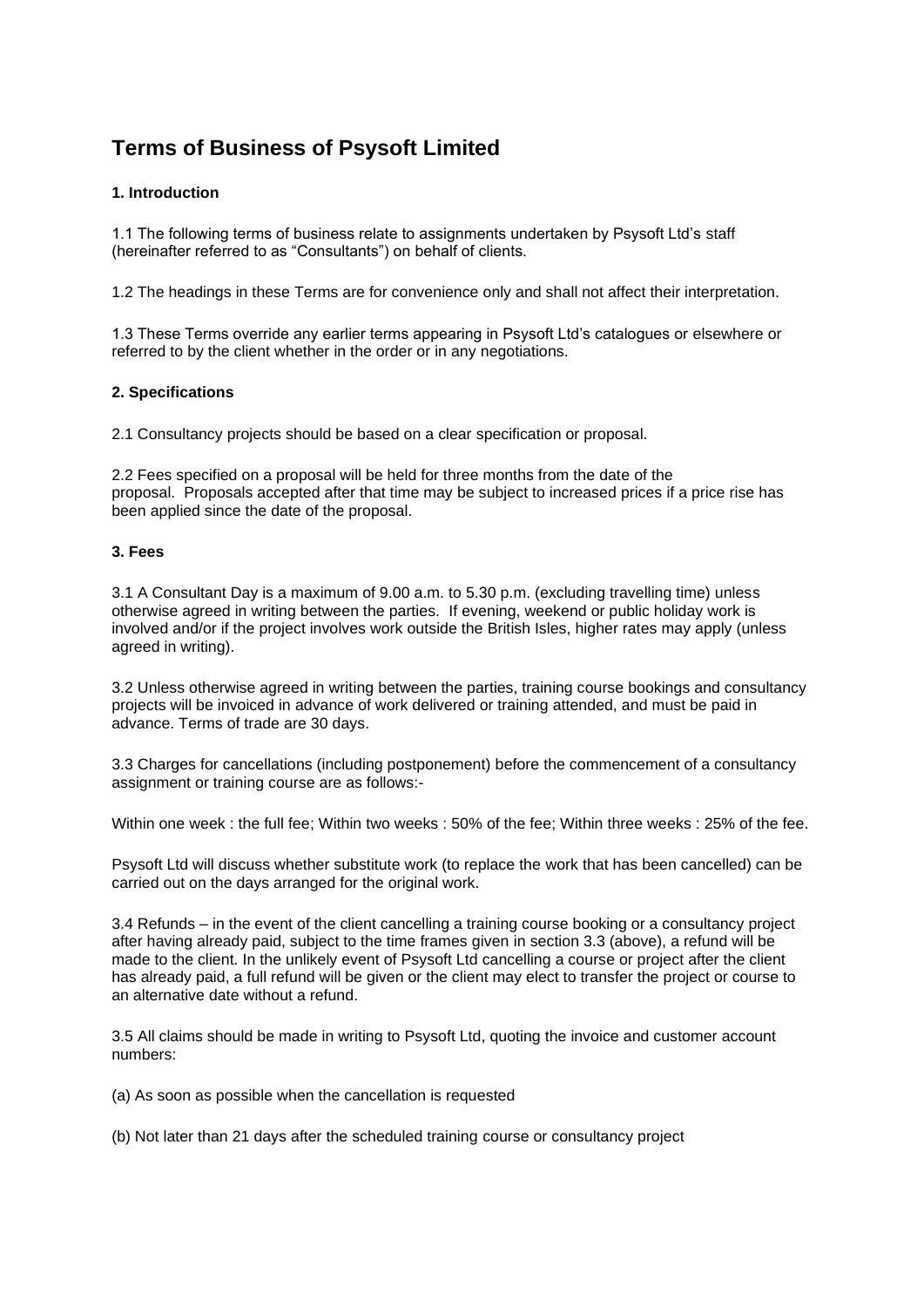# **Terms of Business of Psysoft Limited**

# **1. Introduction**

1.1 The following terms of business relate to assignments undertaken by Psysoft Ltd's staff (hereinafter referred to as "Consultants") on behalf of clients.

1.2 The headings in these Terms are for convenience only and shall not affect their interpretation.

1.3 These Terms override any earlier terms appearing in Psysoft Ltd's catalogues or elsewhere or referred to by the client whether in the order or in any negotiations.

# **2. Specifications**

2.1 Consultancy projects should be based on a clear specification or proposal.

2.2 Fees specified on a proposal will be held for three months from the date of the proposal. Proposals accepted after that time may be subject to increased prices if a price rise has been applied since the date of the proposal.

# **3. Fees**

3.1 A Consultant Day is a maximum of 9.00 a.m. to 5.30 p.m. (excluding travelling time) unless otherwise agreed in writing between the parties. If evening, weekend or public holiday work is involved and/or if the project involves work outside the British Isles, higher rates may apply (unless agreed in writing).

3.2 Unless otherwise agreed in writing between the parties, training course bookings and consultancy projects will be invoiced in advance of work delivered or training attended, and must be paid in advance. Terms of trade are 30 days.

3.3 Charges for cancellations (including postponement) before the commencement of a consultancy assignment or training course are as follows:-

Within one week : the full fee; Within two weeks : 50% of the fee; Within three weeks : 25% of the fee.

Psysoft Ltd will discuss whether substitute work (to replace the work that has been cancelled) can be carried out on the days arranged for the original work.

3.4 Refunds – in the event of the client cancelling a training course booking or a consultancy project after having already paid, subject to the time frames given in section 3.3 (above), a refund will be made to the client. In the unlikely event of Psysoft Ltd cancelling a course or project after the client has already paid, a full refund will be given or the client may elect to transfer the project or course to an alternative date without a refund.

3.5 All claims should be made in writing to Psysoft Ltd, quoting the invoice and customer account numbers:

(a) As soon as possible when the cancellation is requested

(b) Not later than 21 days after the scheduled training course or consultancy project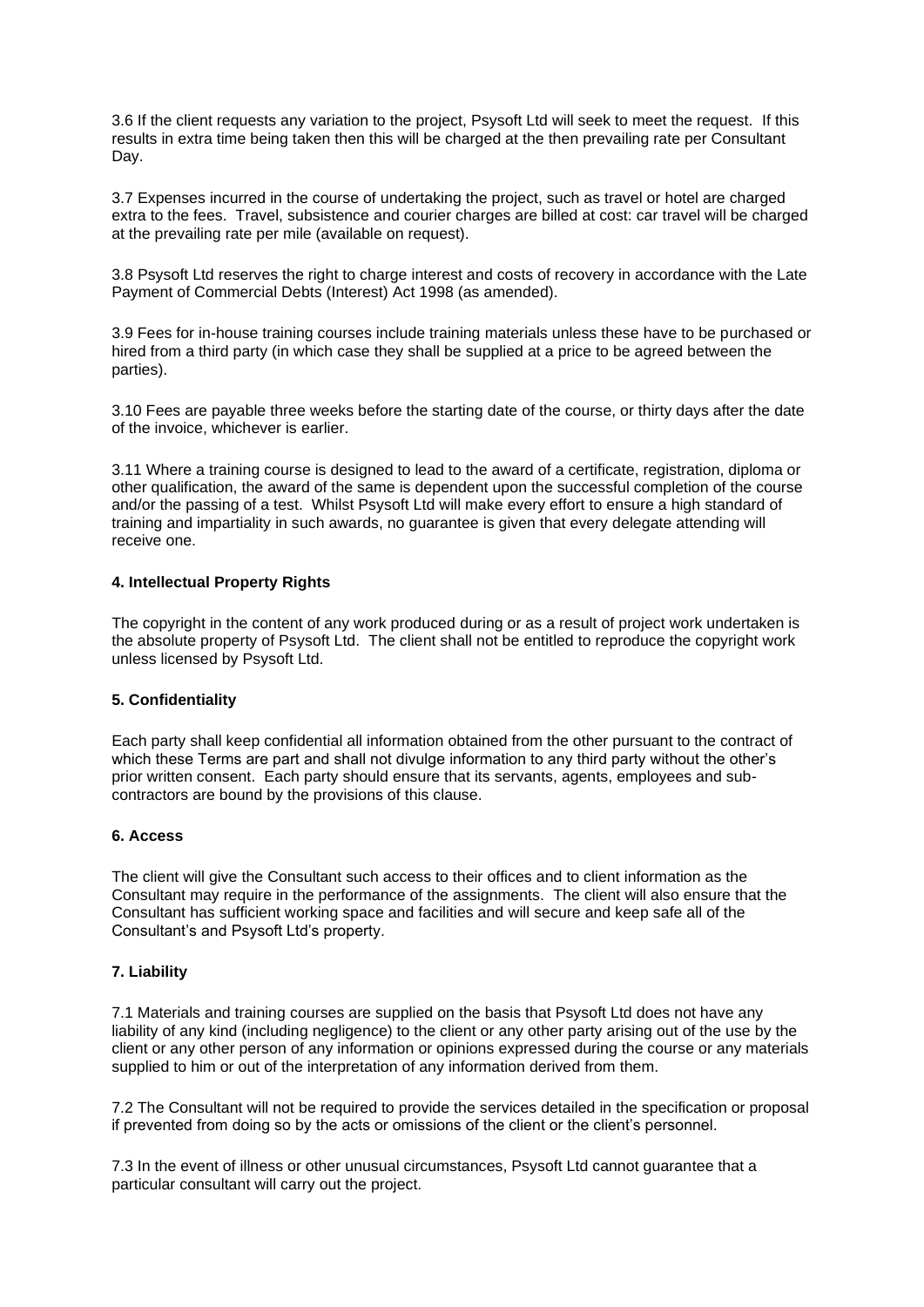3.6 If the client requests any variation to the project, Psysoft Ltd will seek to meet the request. If this results in extra time being taken then this will be charged at the then prevailing rate per Consultant Day.

3.7 Expenses incurred in the course of undertaking the project, such as travel or hotel are charged extra to the fees. Travel, subsistence and courier charges are billed at cost: car travel will be charged at the prevailing rate per mile (available on request).

3.8 Psysoft Ltd reserves the right to charge interest and costs of recovery in accordance with the Late Payment of Commercial Debts (Interest) Act 1998 (as amended).

3.9 Fees for in-house training courses include training materials unless these have to be purchased or hired from a third party (in which case they shall be supplied at a price to be agreed between the parties).

3.10 Fees are payable three weeks before the starting date of the course, or thirty days after the date of the invoice, whichever is earlier.

3.11 Where a training course is designed to lead to the award of a certificate, registration, diploma or other qualification, the award of the same is dependent upon the successful completion of the course and/or the passing of a test. Whilst Psysoft Ltd will make every effort to ensure a high standard of training and impartiality in such awards, no guarantee is given that every delegate attending will receive one.

#### **4. Intellectual Property Rights**

The copyright in the content of any work produced during or as a result of project work undertaken is the absolute property of Psysoft Ltd. The client shall not be entitled to reproduce the copyright work unless licensed by Psysoft Ltd.

## **5. Confidentiality**

Each party shall keep confidential all information obtained from the other pursuant to the contract of which these Terms are part and shall not divulge information to any third party without the other's prior written consent. Each party should ensure that its servants, agents, employees and subcontractors are bound by the provisions of this clause.

#### **6. Access**

The client will give the Consultant such access to their offices and to client information as the Consultant may require in the performance of the assignments. The client will also ensure that the Consultant has sufficient working space and facilities and will secure and keep safe all of the Consultant's and Psysoft Ltd's property.

#### **7. Liability**

7.1 Materials and training courses are supplied on the basis that Psysoft Ltd does not have any liability of any kind (including negligence) to the client or any other party arising out of the use by the client or any other person of any information or opinions expressed during the course or any materials supplied to him or out of the interpretation of any information derived from them.

7.2 The Consultant will not be required to provide the services detailed in the specification or proposal if prevented from doing so by the acts or omissions of the client or the client's personnel.

7.3 In the event of illness or other unusual circumstances, Psysoft Ltd cannot guarantee that a particular consultant will carry out the project.